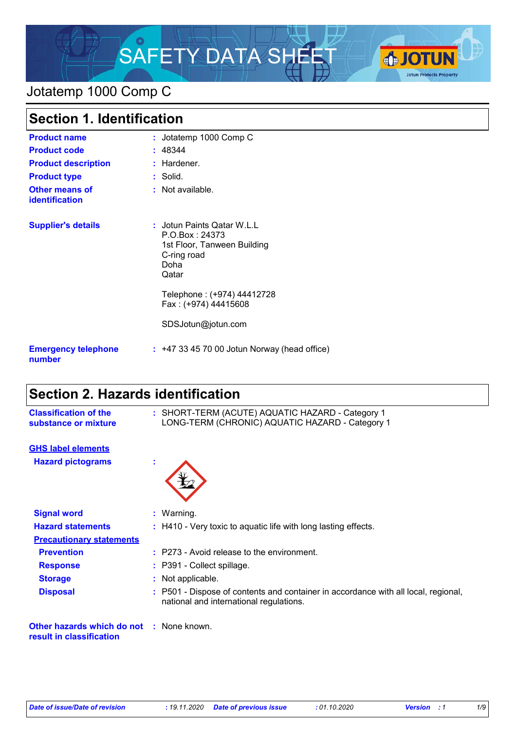

## Jotatemp 1000 Comp C

| <b>Section 1. Identification</b>        |                                                                                                                                                                                         |  |
|-----------------------------------------|-----------------------------------------------------------------------------------------------------------------------------------------------------------------------------------------|--|
| <b>Product name</b>                     | : Jotatemp 1000 Comp C                                                                                                                                                                  |  |
| <b>Product code</b>                     | : 48344                                                                                                                                                                                 |  |
| <b>Product description</b>              | : Hardener.                                                                                                                                                                             |  |
| <b>Product type</b>                     | : Solid.                                                                                                                                                                                |  |
| <b>Other means of</b><br>identification | : Not available.                                                                                                                                                                        |  |
| <b>Supplier's details</b>               | : Jotun Paints Qatar W.L.L<br>P.O.Box: 24373<br>1st Floor, Tanween Building<br>C-ring road<br>Doha<br>Qatar<br>Telephone: (+974) 44412728<br>Fax: (+974) 44415608<br>SDSJotun@jotun.com |  |
| <b>Emergency telephone</b><br>number    | $: +4733457000$ Jotun Norway (head office)                                                                                                                                              |  |

# **Section 2. Hazards identification**

| <b>Classification of the</b><br>substance or mixture                        | : SHORT-TERM (ACUTE) AQUATIC HAZARD - Category 1<br>LONG-TERM (CHRONIC) AQUATIC HAZARD - Category 1 |                                                                                                                               |
|-----------------------------------------------------------------------------|-----------------------------------------------------------------------------------------------------|-------------------------------------------------------------------------------------------------------------------------------|
| <b>GHS label elements</b>                                                   |                                                                                                     |                                                                                                                               |
| <b>Hazard pictograms</b>                                                    | ÷                                                                                                   |                                                                                                                               |
| <b>Signal word</b>                                                          |                                                                                                     | : Warning.                                                                                                                    |
| <b>Hazard statements</b>                                                    |                                                                                                     | : H410 - Very toxic to aquatic life with long lasting effects.                                                                |
| <b>Precautionary statements</b>                                             |                                                                                                     |                                                                                                                               |
| <b>Prevention</b>                                                           |                                                                                                     | $:$ P273 - Avoid release to the environment.                                                                                  |
| <b>Response</b>                                                             |                                                                                                     | : P391 - Collect spillage.                                                                                                    |
| <b>Storage</b>                                                              |                                                                                                     | : Not applicable.                                                                                                             |
| <b>Disposal</b>                                                             |                                                                                                     | : P501 - Dispose of contents and container in accordance with all local, regional,<br>national and international regulations. |
| <b>Other hazards which do not : None known.</b><br>result in classification |                                                                                                     |                                                                                                                               |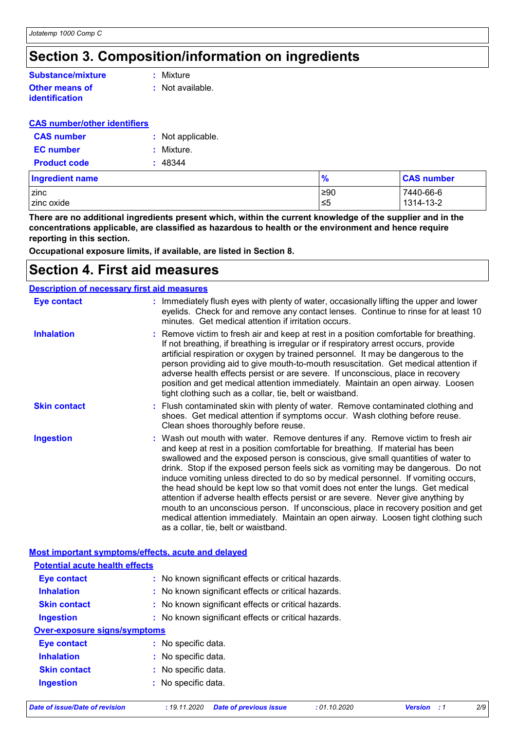# **Section 3. Composition/information on ingredients**

#### **Other means of Substance/mixture**

**identification**

**:** Mixture

**:** Not available.

#### **CAS number/other identifiers**

| <b>CAS number</b>   | : Not applicable. |
|---------------------|-------------------|
| <b>EC</b> number    | : Mixture.        |
| <b>Product code</b> | : 48344           |

| Ingredient name | $\frac{9}{6}$ | <b>CAS number</b> |
|-----------------|---------------|-------------------|
| zinc            | ≥90           | 7440-66-6         |
| zinc oxide      | ≤5            | 1314-13-2         |

**There are no additional ingredients present which, within the current knowledge of the supplier and in the concentrations applicable, are classified as hazardous to health or the environment and hence require reporting in this section.**

**Occupational exposure limits, if available, are listed in Section 8.**

### **Section 4. First aid measures**

| <b>Description of necessary first aid measures</b> |                                                                                                                                                                                                                                                                                                                                                                                                                                                                                                                                                                                                                                                                                                                                                                                                                              |
|----------------------------------------------------|------------------------------------------------------------------------------------------------------------------------------------------------------------------------------------------------------------------------------------------------------------------------------------------------------------------------------------------------------------------------------------------------------------------------------------------------------------------------------------------------------------------------------------------------------------------------------------------------------------------------------------------------------------------------------------------------------------------------------------------------------------------------------------------------------------------------------|
| <b>Eye contact</b>                                 | : Immediately flush eyes with plenty of water, occasionally lifting the upper and lower<br>eyelids. Check for and remove any contact lenses. Continue to rinse for at least 10<br>minutes. Get medical attention if irritation occurs.                                                                                                                                                                                                                                                                                                                                                                                                                                                                                                                                                                                       |
| <b>Inhalation</b>                                  | : Remove victim to fresh air and keep at rest in a position comfortable for breathing.<br>If not breathing, if breathing is irregular or if respiratory arrest occurs, provide<br>artificial respiration or oxygen by trained personnel. It may be dangerous to the<br>person providing aid to give mouth-to-mouth resuscitation. Get medical attention if<br>adverse health effects persist or are severe. If unconscious, place in recovery<br>position and get medical attention immediately. Maintain an open airway. Loosen<br>tight clothing such as a collar, tie, belt or waistband.                                                                                                                                                                                                                                 |
| <b>Skin contact</b>                                | : Flush contaminated skin with plenty of water. Remove contaminated clothing and<br>shoes. Get medical attention if symptoms occur. Wash clothing before reuse.<br>Clean shoes thoroughly before reuse.                                                                                                                                                                                                                                                                                                                                                                                                                                                                                                                                                                                                                      |
| <b>Ingestion</b>                                   | : Wash out mouth with water. Remove dentures if any. Remove victim to fresh air<br>and keep at rest in a position comfortable for breathing. If material has been<br>swallowed and the exposed person is conscious, give small quantities of water to<br>drink. Stop if the exposed person feels sick as vomiting may be dangerous. Do not<br>induce vomiting unless directed to do so by medical personnel. If vomiting occurs,<br>the head should be kept low so that vomit does not enter the lungs. Get medical<br>attention if adverse health effects persist or are severe. Never give anything by<br>mouth to an unconscious person. If unconscious, place in recovery position and get<br>medical attention immediately. Maintain an open airway. Loosen tight clothing such<br>as a collar, tie, belt or waistband. |

#### **Most important symptoms/effects, acute and delayed**

| <b>Potential acute health effects</b> |                                                     |
|---------------------------------------|-----------------------------------------------------|
| Eye contact                           | : No known significant effects or critical hazards. |
| <b>Inhalation</b>                     | : No known significant effects or critical hazards. |
| <b>Skin contact</b>                   | : No known significant effects or critical hazards. |
| Ingestion                             | : No known significant effects or critical hazards. |
| <b>Over-exposure signs/symptoms</b>   |                                                     |
| <b>Eye contact</b>                    | : No specific data.                                 |
| <b>Inhalation</b>                     | : No specific data.                                 |
| <b>Skin contact</b>                   | : No specific data.                                 |
| <b>Ingestion</b>                      | : No specific data.                                 |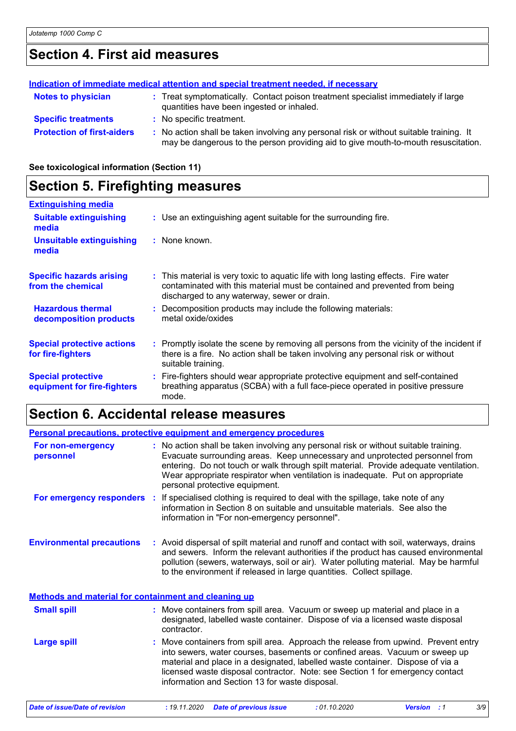# **Section 4. First aid measures**

|                                   | Indication of immediate medical attention and special treatment needed, if necessary                                                                                          |
|-----------------------------------|-------------------------------------------------------------------------------------------------------------------------------------------------------------------------------|
| <b>Notes to physician</b>         | : Treat symptomatically. Contact poison treatment specialist immediately if large<br>quantities have been ingested or inhaled.                                                |
| <b>Specific treatments</b>        | : No specific treatment.                                                                                                                                                      |
| <b>Protection of first-aiders</b> | : No action shall be taken involving any personal risk or without suitable training. It<br>may be dangerous to the person providing aid to give mouth-to-mouth resuscitation. |

**See toxicological information (Section 11)**

### **Section 5. Firefighting measures**

| <b>Extinguishing media</b>                               |                                                                                                                                                                                                                  |
|----------------------------------------------------------|------------------------------------------------------------------------------------------------------------------------------------------------------------------------------------------------------------------|
| <b>Suitable extinguishing</b><br>media                   | : Use an extinguishing agent suitable for the surrounding fire.                                                                                                                                                  |
| Unsuitable extinguishing<br>media                        | : None known.                                                                                                                                                                                                    |
| <b>Specific hazards arising</b><br>from the chemical     | : This material is very toxic to aquatic life with long lasting effects. Fire water<br>contaminated with this material must be contained and prevented from being<br>discharged to any waterway, sewer or drain. |
| <b>Hazardous thermal</b><br>decomposition products       | : Decomposition products may include the following materials:<br>metal oxide/oxides                                                                                                                              |
| <b>Special protective actions</b><br>for fire-fighters   | : Promptly isolate the scene by removing all persons from the vicinity of the incident if<br>there is a fire. No action shall be taken involving any personal risk or without<br>suitable training.              |
| <b>Special protective</b><br>equipment for fire-fighters | : Fire-fighters should wear appropriate protective equipment and self-contained<br>breathing apparatus (SCBA) with a full face-piece operated in positive pressure<br>mode.                                      |

## **Section 6. Accidental release measures**

| Personal precautions, protective equipment and emergency procedures |                                |                                                                                                                                                                                                                                                                                                                                                                                        |
|---------------------------------------------------------------------|--------------------------------|----------------------------------------------------------------------------------------------------------------------------------------------------------------------------------------------------------------------------------------------------------------------------------------------------------------------------------------------------------------------------------------|
| For non-emergency<br>personnel                                      | personal protective equipment. | : No action shall be taken involving any personal risk or without suitable training.<br>Evacuate surrounding areas. Keep unnecessary and unprotected personnel from<br>entering. Do not touch or walk through spilt material. Provide adequate ventilation.<br>Wear appropriate respirator when ventilation is inadequate. Put on appropriate                                          |
|                                                                     |                                | <b>For emergency responders</b> : If specialised clothing is required to deal with the spillage, take note of any<br>information in Section 8 on suitable and unsuitable materials. See also the<br>information in "For non-emergency personnel".                                                                                                                                      |
| <b>Environmental precautions</b>                                    |                                | : Avoid dispersal of spilt material and runoff and contact with soil, waterways, drains<br>and sewers. Inform the relevant authorities if the product has caused environmental<br>pollution (sewers, waterways, soil or air). Water polluting material. May be harmful<br>to the environment if released in large quantities. Collect spillage.                                        |
| <b>Methods and material for containment and cleaning up</b>         |                                |                                                                                                                                                                                                                                                                                                                                                                                        |
| <b>Small spill</b>                                                  | contractor.                    | : Move containers from spill area. Vacuum or sweep up material and place in a<br>designated, labelled waste container. Dispose of via a licensed waste disposal                                                                                                                                                                                                                        |
| <b>Large spill</b>                                                  |                                | : Move containers from spill area. Approach the release from upwind. Prevent entry<br>into sewers, water courses, basements or confined areas. Vacuum or sweep up<br>material and place in a designated, labelled waste container. Dispose of via a<br>licensed waste disposal contractor. Note: see Section 1 for emergency contact<br>information and Section 13 for waste disposal. |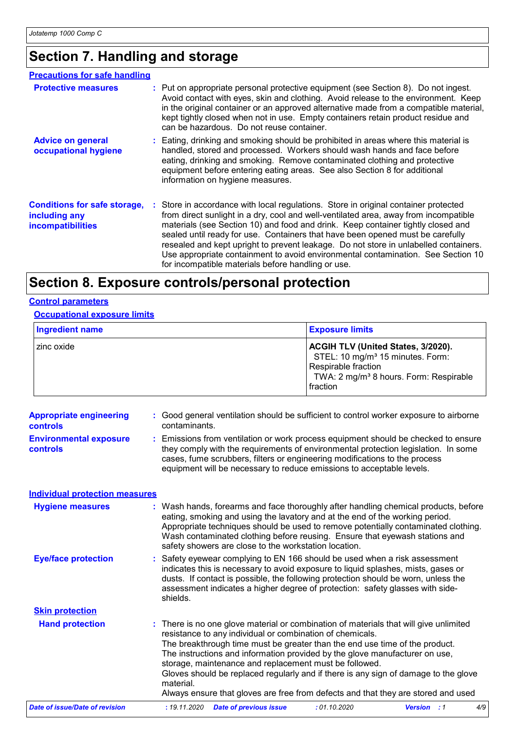# **Section 7. Handling and storage**

| <b>Precautions for safe handling</b>                                             |                                                                                                                                                                                                                                                                                                                                                                                                                                                                                                                                                                                     |
|----------------------------------------------------------------------------------|-------------------------------------------------------------------------------------------------------------------------------------------------------------------------------------------------------------------------------------------------------------------------------------------------------------------------------------------------------------------------------------------------------------------------------------------------------------------------------------------------------------------------------------------------------------------------------------|
| <b>Protective measures</b>                                                       | : Put on appropriate personal protective equipment (see Section 8). Do not ingest.<br>Avoid contact with eyes, skin and clothing. Avoid release to the environment. Keep<br>in the original container or an approved alternative made from a compatible material,<br>kept tightly closed when not in use. Empty containers retain product residue and<br>can be hazardous. Do not reuse container.                                                                                                                                                                                  |
| <b>Advice on general</b><br>occupational hygiene                                 | : Eating, drinking and smoking should be prohibited in areas where this material is<br>handled, stored and processed. Workers should wash hands and face before<br>eating, drinking and smoking. Remove contaminated clothing and protective<br>equipment before entering eating areas. See also Section 8 for additional<br>information on hygiene measures.                                                                                                                                                                                                                       |
| <b>Conditions for safe storage,</b><br>including any<br><i>incompatibilities</i> | : Store in accordance with local regulations. Store in original container protected<br>from direct sunlight in a dry, cool and well-ventilated area, away from incompatible<br>materials (see Section 10) and food and drink. Keep container tightly closed and<br>sealed until ready for use. Containers that have been opened must be carefully<br>resealed and kept upright to prevent leakage. Do not store in unlabelled containers.<br>Use appropriate containment to avoid environmental contamination. See Section 10<br>for incompatible materials before handling or use. |

# **Section 8. Exposure controls/personal protection**

#### **Control parameters**

**Occupational exposure limits**

| Ingredient name | <b>Exposure limits</b>                                                                                                                                                             |  |  |  |
|-----------------|------------------------------------------------------------------------------------------------------------------------------------------------------------------------------------|--|--|--|
| I zinc oxide    | <b>ACGIH TLV (United States, 3/2020).</b><br>STEL: 10 mg/m <sup>3</sup> 15 minutes. Form:<br>Respirable fraction<br>TWA: 2 mg/m <sup>3</sup> 8 hours. Form: Respirable<br>fraction |  |  |  |

| <b>Appropriate engineering</b><br>controls<br><b>Environmental exposure</b><br>controls | : Good general ventilation should be sufficient to control worker exposure to airborne<br>contaminants.<br>: Emissions from ventilation or work process equipment should be checked to ensure<br>they comply with the requirements of environmental protection legislation. In some<br>cases, fume scrubbers, filters or engineering modifications to the process<br>equipment will be necessary to reduce emissions to acceptable levels.                                                                                                                          |
|-----------------------------------------------------------------------------------------|---------------------------------------------------------------------------------------------------------------------------------------------------------------------------------------------------------------------------------------------------------------------------------------------------------------------------------------------------------------------------------------------------------------------------------------------------------------------------------------------------------------------------------------------------------------------|
| <b>Individual protection measures</b>                                                   |                                                                                                                                                                                                                                                                                                                                                                                                                                                                                                                                                                     |
| <b>Hygiene measures</b>                                                                 | : Wash hands, forearms and face thoroughly after handling chemical products, before<br>eating, smoking and using the lavatory and at the end of the working period.<br>Appropriate techniques should be used to remove potentially contaminated clothing.<br>Wash contaminated clothing before reusing. Ensure that eyewash stations and<br>safety showers are close to the workstation location.                                                                                                                                                                   |
| <b>Eye/face protection</b>                                                              | Safety eyewear complying to EN 166 should be used when a risk assessment<br>indicates this is necessary to avoid exposure to liquid splashes, mists, gases or<br>dusts. If contact is possible, the following protection should be worn, unless the<br>assessment indicates a higher degree of protection: safety glasses with side-<br>shields.                                                                                                                                                                                                                    |
| <b>Skin protection</b>                                                                  |                                                                                                                                                                                                                                                                                                                                                                                                                                                                                                                                                                     |
| <b>Hand protection</b>                                                                  | : There is no one glove material or combination of materials that will give unlimited<br>resistance to any individual or combination of chemicals.<br>The breakthrough time must be greater than the end use time of the product.<br>The instructions and information provided by the glove manufacturer on use,<br>storage, maintenance and replacement must be followed.<br>Gloves should be replaced regularly and if there is any sign of damage to the glove<br>material.<br>Always ensure that gloves are free from defects and that they are stored and used |
| <b>Date of issue/Date of revision</b>                                                   | <b>Date of previous issue</b><br>:01.10.2020<br><b>Version</b> : 1<br>: 19.11.2020<br>4/9                                                                                                                                                                                                                                                                                                                                                                                                                                                                           |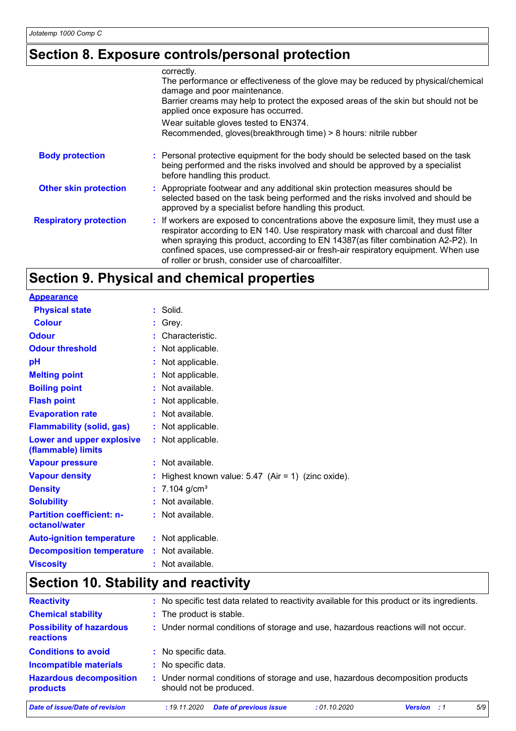# **Section 8. Exposure controls/personal protection**

|                               | correctly.<br>The performance or effectiveness of the glove may be reduced by physical/chemical<br>damage and poor maintenance.<br>Barrier creams may help to protect the exposed areas of the skin but should not be<br>applied once exposure has occurred.                                                                                                                                                |
|-------------------------------|-------------------------------------------------------------------------------------------------------------------------------------------------------------------------------------------------------------------------------------------------------------------------------------------------------------------------------------------------------------------------------------------------------------|
|                               | Wear suitable gloves tested to EN374.<br>Recommended, gloves(breakthrough time) > 8 hours: nitrile rubber                                                                                                                                                                                                                                                                                                   |
| <b>Body protection</b>        | : Personal protective equipment for the body should be selected based on the task<br>being performed and the risks involved and should be approved by a specialist<br>before handling this product.                                                                                                                                                                                                         |
| <b>Other skin protection</b>  | : Appropriate footwear and any additional skin protection measures should be<br>selected based on the task being performed and the risks involved and should be<br>approved by a specialist before handling this product.                                                                                                                                                                                   |
| <b>Respiratory protection</b> | : If workers are exposed to concentrations above the exposure limit, they must use a<br>respirator according to EN 140. Use respiratory mask with charcoal and dust filter<br>when spraying this product, according to EN 14387(as filter combination A2-P2). In<br>confined spaces, use compressed-air or fresh-air respiratory equipment. When use<br>of roller or brush, consider use of charcoalfilter. |

# **Section 9. Physical and chemical properties**

| <b>Appearance</b>                                 |                                                     |
|---------------------------------------------------|-----------------------------------------------------|
| <b>Physical state</b>                             | $:$ Solid.                                          |
| <b>Colour</b>                                     | $:$ Grey.                                           |
| <b>Odour</b>                                      | : Characteristic.                                   |
| <b>Odour threshold</b>                            | Not applicable.                                     |
| рH                                                | Not applicable.                                     |
| <b>Melting point</b>                              | Not applicable.                                     |
| <b>Boiling point</b>                              | : Not available.                                    |
| <b>Flash point</b>                                | Not applicable.                                     |
| <b>Evaporation rate</b>                           | : Not available.                                    |
| <b>Flammability (solid, gas)</b>                  | : Not applicable.                                   |
| Lower and upper explosive<br>(flammable) limits   | : Not applicable.                                   |
| <b>Vapour pressure</b>                            | $:$ Not available.                                  |
| <b>Vapour density</b>                             | Highest known value: $5.47$ (Air = 1) (zinc oxide). |
| <b>Density</b>                                    | : $7.104$ g/cm <sup>3</sup>                         |
| <b>Solubility</b>                                 | $:$ Not available.                                  |
| <b>Partition coefficient: n-</b><br>octanol/water | : Not available.                                    |
| <b>Auto-ignition temperature</b>                  | : Not applicable.                                   |
| <b>Decomposition temperature</b>                  | : Not available.                                    |
| <b>Viscosity</b>                                  | $:$ Not available.                                  |

# **Section 10. Stability and reactivity**

| <b>Reactivity</b>                                   | : No specific test data related to reactivity available for this product or its ingredients.              |     |
|-----------------------------------------------------|-----------------------------------------------------------------------------------------------------------|-----|
| <b>Chemical stability</b>                           | : The product is stable.                                                                                  |     |
| <b>Possibility of hazardous</b><br><b>reactions</b> | : Under normal conditions of storage and use, hazardous reactions will not occur.                         |     |
| <b>Conditions to avoid</b>                          | : No specific data.                                                                                       |     |
| <b>Incompatible materials</b>                       | : No specific data.                                                                                       |     |
| <b>Hazardous decomposition</b><br>products          | : Under normal conditions of storage and use, hazardous decomposition products<br>should not be produced. |     |
| Date of issue/Date of revision                      | <b>Date of previous issue</b><br>: 01.10.2020<br>: 19.11.2020<br><b>Version</b> : 1                       | 5/9 |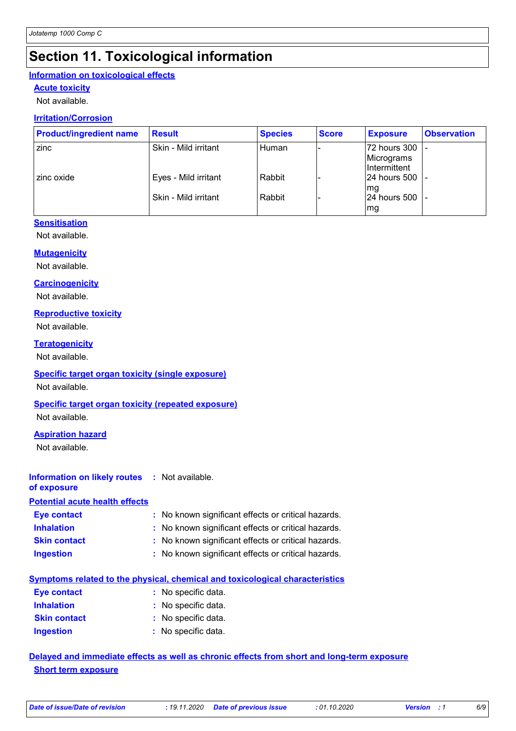## **Section 11. Toxicological information**

### **Information on toxicological effects**

### **Acute toxicity**

Not available.

### **Irritation/Corrosion**

| <b>Product/ingredient name</b> | <b>Result</b>        | <b>Species</b> | <b>Score</b> | <b>Exposure</b>                                   | <b>Observation</b> |
|--------------------------------|----------------------|----------------|--------------|---------------------------------------------------|--------------------|
| zinc                           | Skin - Mild irritant | l Human        |              | 72 hours 300<br>Micrograms<br><b>Intermittent</b> |                    |
| zinc oxide                     | Eyes - Mild irritant | Rabbit         |              | l24 hours 500<br>mg                               |                    |
|                                | Skin - Mild irritant | Rabbit         |              | 24 hours 500<br>mg                                |                    |

#### **Sensitisation**

Not available.

#### **Mutagenicity**

Not available.

#### **Carcinogenicity**

Not available.

#### **Reproductive toxicity**

Not available.

#### **Teratogenicity**

Not available.

#### **Specific target organ toxicity (single exposure)**

Not available.

#### **Specific target organ toxicity (repeated exposure)**

Not available.

#### **Aspiration hazard**

Not available.

### **Information on likely routes :** Not available.

**of exposure**

### **Potential acute health effects**

| Eye contact         | : No known significant effects or critical hazards. |
|---------------------|-----------------------------------------------------|
| <b>Inhalation</b>   | : No known significant effects or critical hazards. |
| <b>Skin contact</b> | : No known significant effects or critical hazards. |
| <b>Ingestion</b>    | : No known significant effects or critical hazards. |

### **Symptoms related to the physical, chemical and toxicological characteristics**

| <b>Eye contact</b>  | : No specific data. |
|---------------------|---------------------|
| <b>Inhalation</b>   | : No specific data. |
| <b>Skin contact</b> | : No specific data. |
| <b>Ingestion</b>    | : No specific data. |

### **Delayed and immediate effects as well as chronic effects from short and long-term exposure Short term exposure**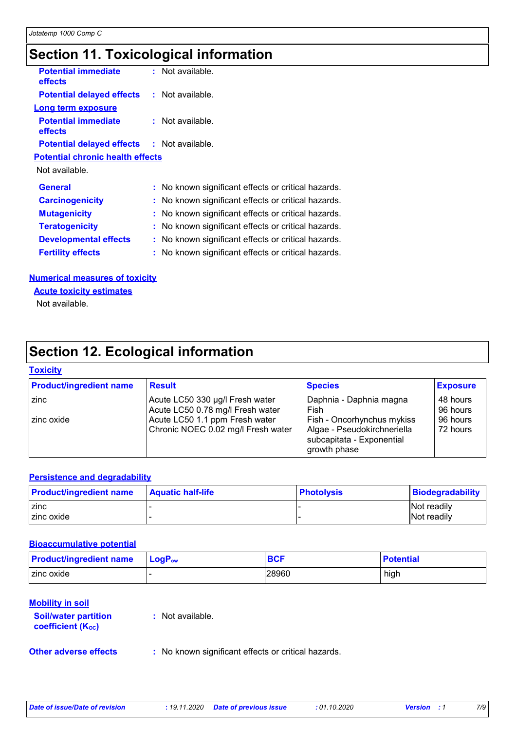## **Section 11. Toxicological information**

| <b>Potential immediate</b><br>effects             | : Not available.                                    |
|---------------------------------------------------|-----------------------------------------------------|
| <b>Potential delayed effects : Not available.</b> |                                                     |
| <b>Long term exposure</b>                         |                                                     |
| <b>Potential immediate</b><br>effects             | $:$ Not available.                                  |
| <b>Potential delayed effects : Not available.</b> |                                                     |
| <b>Potential chronic health effects</b>           |                                                     |
| Not available.                                    |                                                     |
| <b>General</b>                                    | : No known significant effects or critical hazards. |
| <b>Carcinogenicity</b>                            | : No known significant effects or critical hazards. |
| <b>Mutagenicity</b>                               | : No known significant effects or critical hazards. |
| <b>Teratogenicity</b>                             | No known significant effects or critical hazards.   |
| <b>Developmental effects</b>                      | : No known significant effects or critical hazards. |
| <b>Fertility effects</b>                          | : No known significant effects or critical hazards. |
|                                                   |                                                     |

#### **Numerical measures of toxicity**

**Acute toxicity estimates**

Not available.

## **Section 12. Ecological information**

#### **Toxicity**

| <b>Product/ingredient name</b> | <b>Result</b>                      | <b>Species</b>                                                           | <b>Exposure</b> |
|--------------------------------|------------------------------------|--------------------------------------------------------------------------|-----------------|
| zinc                           | Acute LC50 330 µg/l Fresh water    | Daphnia - Daphnia magna                                                  | 48 hours        |
|                                | Acute LC50 0.78 mg/l Fresh water   | Fish                                                                     | 96 hours        |
| zinc oxide                     | Acute LC50 1.1 ppm Fresh water     | Fish - Oncorhynchus mykiss                                               | 96 hours        |
|                                | Chronic NOEC 0.02 mg/l Fresh water | Algae - Pseudokirchneriella<br>subcapitata - Exponential<br>growth phase | 72 hours        |

#### **Persistence and degradability**

| <b>Product/ingredient name</b> | <b>Aquatic half-life</b> | <b>Photolysis</b> | Biodegradability   |
|--------------------------------|--------------------------|-------------------|--------------------|
| zinc                           |                          |                   | <b>Not readily</b> |
| zinc oxide                     |                          |                   | Not readily        |

#### **Bioaccumulative potential**

| <b>Product/ingredient name</b> | $\mathsf{LocP}_\mathsf{ow}$ | <b>BCF</b> | <b>Potential</b> |
|--------------------------------|-----------------------------|------------|------------------|
| zinc oxide                     |                             | 28960      | high             |

#### **Mobility in soil**

| <b>Soil/water partition</b><br><b>coefficient (Koc)</b> | : Not available. |
|---------------------------------------------------------|------------------|
|                                                         |                  |

**Other adverse effects** : No known significant effects or critical hazards.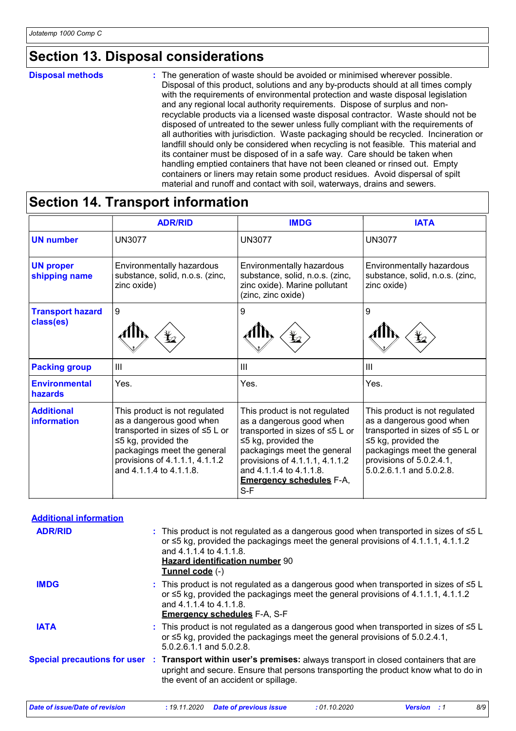### **Section 13. Disposal considerations**

#### **Disposal methods :**

The generation of waste should be avoided or minimised wherever possible. Disposal of this product, solutions and any by-products should at all times comply with the requirements of environmental protection and waste disposal legislation and any regional local authority requirements. Dispose of surplus and nonrecyclable products via a licensed waste disposal contractor. Waste should not be disposed of untreated to the sewer unless fully compliant with the requirements of all authorities with jurisdiction. Waste packaging should be recycled. Incineration or landfill should only be considered when recycling is not feasible. This material and its container must be disposed of in a safe way. Care should be taken when handling emptied containers that have not been cleaned or rinsed out. Empty containers or liners may retain some product residues. Avoid dispersal of spilt material and runoff and contact with soil, waterways, drains and sewers.

### **Section 14. Transport information**

|                                      | <b>ADR/RID</b>                                                                                                                                                                                                        | <b>IMDG</b>                                                                                                                                                                                                                                                     | <b>IATA</b>                                                                                                                                                                                                      |
|--------------------------------------|-----------------------------------------------------------------------------------------------------------------------------------------------------------------------------------------------------------------------|-----------------------------------------------------------------------------------------------------------------------------------------------------------------------------------------------------------------------------------------------------------------|------------------------------------------------------------------------------------------------------------------------------------------------------------------------------------------------------------------|
| <b>UN number</b>                     | <b>UN3077</b>                                                                                                                                                                                                         | <b>UN3077</b>                                                                                                                                                                                                                                                   | <b>UN3077</b>                                                                                                                                                                                                    |
| <b>UN proper</b><br>shipping name    | Environmentally hazardous<br>substance, solid, n.o.s. (zinc,<br>zinc oxide)                                                                                                                                           | Environmentally hazardous<br>substance, solid, n.o.s. (zinc,<br>zinc oxide). Marine pollutant<br>(zinc, zinc oxide)                                                                                                                                             | Environmentally hazardous<br>substance, solid, n.o.s. (zinc,<br>zinc oxide)                                                                                                                                      |
| <b>Transport hazard</b><br>class(es) | 9                                                                                                                                                                                                                     | 9                                                                                                                                                                                                                                                               | 9                                                                                                                                                                                                                |
| <b>Packing group</b>                 | $\mathbf{III}$                                                                                                                                                                                                        | $\mathbf{III}$                                                                                                                                                                                                                                                  | III                                                                                                                                                                                                              |
| <b>Environmental</b><br>hazards      | Yes.                                                                                                                                                                                                                  | Yes.                                                                                                                                                                                                                                                            | Yes.                                                                                                                                                                                                             |
| <b>Additional</b><br>information     | This product is not regulated<br>as a dangerous good when<br>transported in sizes of ≤5 L or<br>$\leq$ 5 kg, provided the<br>packagings meet the general<br>provisions of 4.1.1.1, 4.1.1.2<br>and 4.1.1.4 to 4.1.1.8. | This product is not regulated<br>as a dangerous good when<br>transported in sizes of ≤5 L or<br>$\leq$ 5 kg, provided the<br>packagings meet the general<br>provisions of 4.1.1.1, 4.1.1.2<br>and 4.1.1.4 to 4.1.1.8.<br><b>Emergency schedules F-A,</b><br>S-F | This product is not regulated<br>as a dangerous good when<br>transported in sizes of ≤5 L or<br>$\leq$ 5 kg, provided the<br>packagings meet the general<br>provisions of 5.0.2.4.1,<br>5.0.2.6.1.1 and 5.0.2.8. |

| <b>Additional information</b>         |                                                                                                                                                                                                                                                                         |
|---------------------------------------|-------------------------------------------------------------------------------------------------------------------------------------------------------------------------------------------------------------------------------------------------------------------------|
| <b>ADR/RID</b>                        | : This product is not regulated as a dangerous good when transported in sizes of $\leq 5$ L<br>or $\leq$ 5 kg, provided the packagings meet the general provisions of 4.1.1.1, 4.1.1.2<br>and 4.1.1.4 to 4.1.1.8.<br>Hazard identification number 90<br>Tunnel code (-) |
| <b>IMDG</b>                           | : This product is not regulated as a dangerous good when transported in sizes of $\leq 5$ L<br>or $\leq$ 5 kg, provided the packagings meet the general provisions of 4.1.1.1, 4.1.1.2<br>and 4.1.1.4 to 4.1.1.8.<br><b>Emergency schedules F-A, S-F</b>                |
| <b>IATA</b>                           | : This product is not regulated as a dangerous good when transported in sizes of $\leq 5$ L<br>or $\leq$ 5 kg, provided the packagings meet the general provisions of 5.0.2.4.1,<br>5.0.2.6.1.1 and 5.0.2.8.                                                            |
|                                       | Special precautions for user : Transport within user's premises: always transport in closed containers that are<br>upright and secure. Ensure that persons transporting the product know what to do in<br>the event of an accident or spillage.                         |
| <b>Date of issue/Date of revision</b> | 8/9<br>: 19.11.2020<br><b>Date of previous issue</b><br>:01.10.2020<br><b>Version</b> : 1                                                                                                                                                                               |